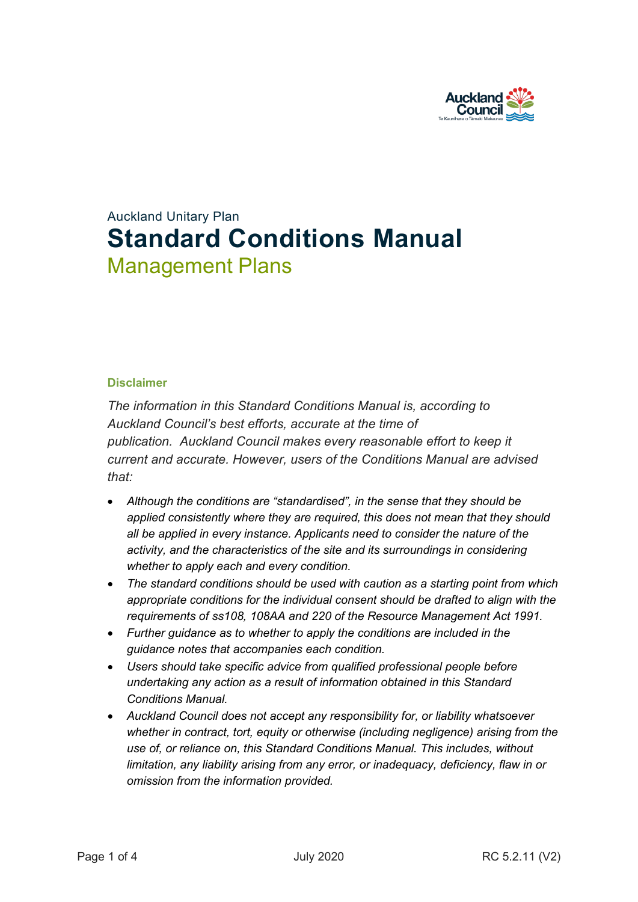

# Auckland Unitary Plan **Standard Conditions Manual** Management Plans

#### **Disclaimer**

*The information in this Standard Conditions Manual is, according to Auckland Council's best efforts, accurate at the time of publication. Auckland Council makes every reasonable effort to keep it current and accurate. However, users of the Conditions Manual are advised that:* 

- *Although the conditions are "standardised", in the sense that they should be applied consistently where they are required, this does not mean that they should all be applied in every instance. Applicants need to consider the nature of the activity, and the characteristics of the site and its surroundings in considering whether to apply each and every condition.*
- *The standard conditions should be used with caution as a starting point from which appropriate conditions for the individual consent should be drafted to align with the requirements of ss108, 108AA and 220 of the Resource Management Act 1991.*
- *Further guidance as to whether to apply the conditions are included in the guidance notes that accompanies each condition.*
- *Users should take specific advice from qualified professional people before undertaking any action as a result of information obtained in this Standard Conditions Manual.*
- *Auckland Council does not accept any responsibility for, or liability whatsoever whether in contract, tort, equity or otherwise (including negligence) arising from the use of, or reliance on, this Standard Conditions Manual. This includes, without limitation, any liability arising from any error, or inadequacy, deficiency, flaw in or omission from the information provided.*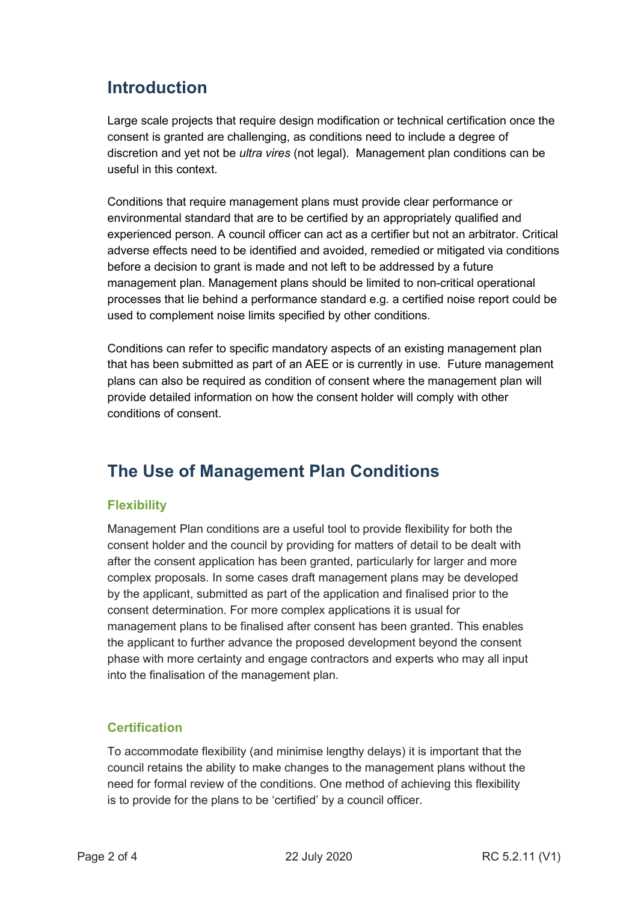## **Introduction**

Large scale projects that require design modification or technical certification once the consent is granted are challenging, as conditions need to include a degree of discretion and yet not be *ultra vires* (not legal). Management plan conditions can be useful in this context.

Conditions that require management plans must provide clear performance or environmental standard that are to be certified by an appropriately qualified and experienced person. A council officer can act as a certifier but not an arbitrator. Critical adverse effects need to be identified and avoided, remedied or mitigated via conditions before a decision to grant is made and not left to be addressed by a future management plan. Management plans should be limited to non-critical operational processes that lie behind a performance standard e.g. a certified noise report could be used to complement noise limits specified by other conditions.

Conditions can refer to specific mandatory aspects of an existing management plan that has been submitted as part of an AEE or is currently in use. Future management plans can also be required as condition of consent where the management plan will provide detailed information on how the consent holder will comply with other conditions of consent.

### **The Use of Management Plan Conditions**

### **Flexibility**

Management Plan conditions are a useful tool to provide flexibility for both the consent holder and the council by providing for matters of detail to be dealt with after the consent application has been granted, particularly for larger and more complex proposals. In some cases draft management plans may be developed by the applicant, submitted as part of the application and finalised prior to the consent determination. For more complex applications it is usual for management plans to be finalised after consent has been granted. This enables the applicant to further advance the proposed development beyond the consent phase with more certainty and engage contractors and experts who may all input into the finalisation of the management plan.

### **Certification**

To accommodate flexibility (and minimise lengthy delays) it is important that the council retains the ability to make changes to the management plans without the need for formal review of the conditions. One method of achieving this flexibility is to provide for the plans to be 'certified' by a council officer.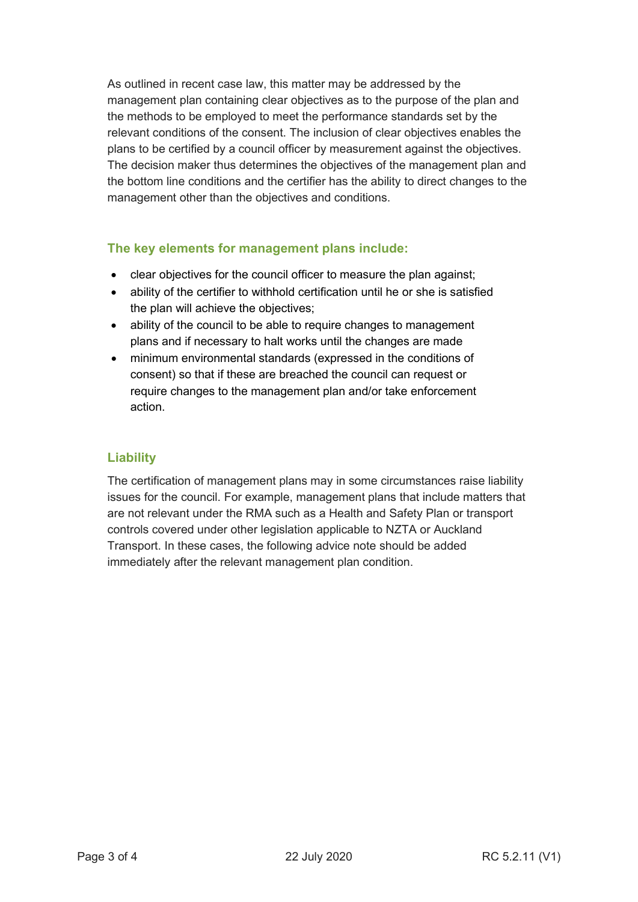As outlined in recent case law, this matter may be addressed by the management plan containing clear objectives as to the purpose of the plan and the methods to be employed to meet the performance standards set by the relevant conditions of the consent. The inclusion of clear objectives enables the plans to be certified by a council officer by measurement against the objectives. The decision maker thus determines the objectives of the management plan and the bottom line conditions and the certifier has the ability to direct changes to the management other than the objectives and conditions.

#### **The key elements for management plans include:**

- clear objectives for the council officer to measure the plan against;
- ability of the certifier to withhold certification until he or she is satisfied the plan will achieve the objectives;
- ability of the council to be able to require changes to management plans and if necessary to halt works until the changes are made
- minimum environmental standards (expressed in the conditions of consent) so that if these are breached the council can request or require changes to the management plan and/or take enforcement action.

#### **Liability**

The certification of management plans may in some circumstances raise liability issues for the council. For example, management plans that include matters that are not relevant under the RMA such as a Health and Safety Plan or transport controls covered under other legislation applicable to NZTA or Auckland Transport. In these cases, the following advice note should be added immediately after the relevant management plan condition.